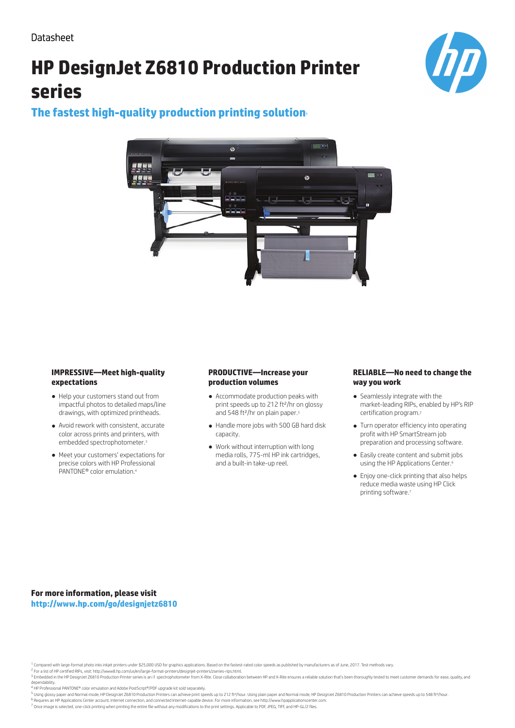# **HP DesignJet Z6810 Production Printer series**



# **The fastest high-quality production printing solution**<sup>1</sup>



### **IMPRESSIVE—Meet high-quality expectations**

- Help your customers stand out from impactful photos to detailed maps/line drawings, with optimized printheads.
- Avoid rework with consistent, accurate color across prints and printers, with embedded spectrophotometer.<sup>3</sup>
- Meet your customers' expectations for precise colors with HP Professional PANTONE® color emulation.<sup>4</sup>

## **PRODUCTIVE—Increase your production volumes**

- Accommodate production peaks with print speeds up to 212 ft²/hr on glossy and 548 ft<sup>2</sup>/hr on plain paper.<sup>5</sup>
- Handle more jobs with 500 GB hard disk capacity.
- Work without interruption with long media rolls, 775-ml HP ink cartridges, and a built-in take-up reel.

### **RELIABLE—No need to change the way you work**

- Seamlessly integrate with the market-leading RIPs, enabled by HP's RIP certification program.<sup>2</sup>
- Turn operator efficiency into operating profit with HP SmartStream job preparation and processing software.
- Easily create content and submit jobs using the HP Applications Center.<sup>6</sup>
- Enjoy one-click printing that also helps reduce media waste using HP Click printing software.<sup>7</sup>

**For more information, please visit http://www.hp.com/go/designjetz6810**

<sup>1</sup> Compared with large-format photo inks inkjet printers under \$25,000 USD for graphics applications. Based on the fastest-rated color speeds as published by manufacturers as of June, 2017. Test methods vary.

<sup>2</sup> For a list of HP certified RIPs, visit: http://www8.hp.com/us/en/large-format-printers/designjet-printers/zseries-rips.html.<br><sup>3</sup> Embedded in the HP DesignJet Z6810 Production Printer series is an i1 spectrophotometer f dependability.

- <sup>4</sup> HP Professional PANTONE® color emulation and Adobe PostScript®/PDF upgrade kit sold separately.
- .<br>Using glossy paper and Normal mode, HP DesignJet Z6810 Production Printers can achieve print speeds up to 212 ft?/hour. Using plain paper and Normal mode, HP DesignJet Z6810 Production Printers can achieve speeds up to 5 6 Requires an HP Applications Center account, Internet connection, and connected Internet-capable device. For more information, see http://www.hpapplicationscenter.co

 $^7$  Once image is selected, one-click printing when printing the entire file without any modifications to the print settings. Applicable to PDF, JPEG, TIFF, and HP-GL/2 files.